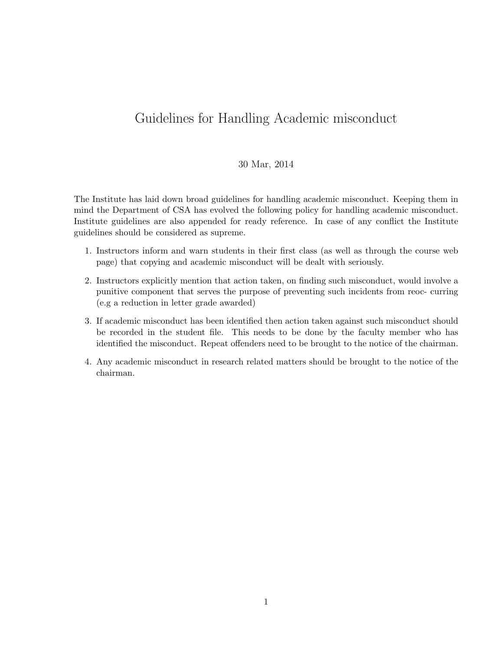## Guidelines for Handling Academic misconduct

## 30 Mar, 2014

The Institute has laid down broad guidelines for handling academic misconduct. Keeping them in mind the Department of CSA has evolved the following policy for handling academic misconduct. Institute guidelines are also appended for ready reference. In case of any conflict the Institute guidelines should be considered as supreme.

- 1. Instructors inform and warn students in their first class (as well as through the course web page) that copying and academic misconduct will be dealt with seriously.
- 2. Instructors explicitly mention that action taken, on finding such misconduct, would involve a punitive component that serves the purpose of preventing such incidents from reoc- curring (e.g a reduction in letter grade awarded)
- 3. If academic misconduct has been identified then action taken against such misconduct should be recorded in the student file. This needs to be done by the faculty member who has identified the misconduct. Repeat offenders need to be brought to the notice of the chairman.
- 4. Any academic misconduct in research related matters should be brought to the notice of the chairman.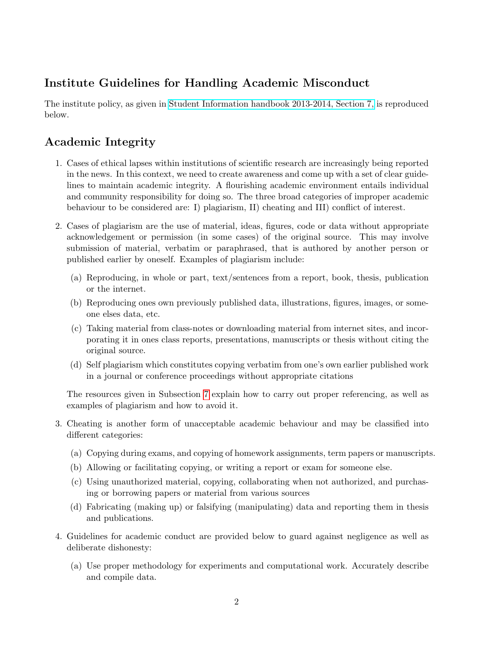## Institute Guidelines for Handling Academic Misconduct

The institute policy, as given in [Student Information handbook 2013-2014, Section 7,](http://admissions.iisc.ernet.in/web/Content%5CStudeninfo2013.pdf) is reproduced below.

## Academic Integrity

- 1. Cases of ethical lapses within institutions of scientific research are increasingly being reported in the news. In this context, we need to create awareness and come up with a set of clear guidelines to maintain academic integrity. A flourishing academic environment entails individual and community responsibility for doing so. The three broad categories of improper academic behaviour to be considered are: I) plagiarism, II) cheating and III) conflict of interest.
- 2. Cases of plagiarism are the use of material, ideas, figures, code or data without appropriate acknowledgement or permission (in some cases) of the original source. This may involve submission of material, verbatim or paraphrased, that is authored by another person or published earlier by oneself. Examples of plagiarism include:
	- (a) Reproducing, in whole or part, text/sentences from a report, book, thesis, publication or the internet.
	- (b) Reproducing ones own previously published data, illustrations, figures, images, or someone elses data, etc.
	- (c) Taking material from class-notes or downloading material from internet sites, and incorporating it in ones class reports, presentations, manuscripts or thesis without citing the original source.
	- (d) Self plagiarism which constitutes copying verbatim from one's own earlier published work in a journal or conference proceedings without appropriate citations

The resources given in Subsection [7](#page-3-0) explain how to carry out proper referencing, as well as examples of plagiarism and how to avoid it.

- 3. Cheating is another form of unacceptable academic behaviour and may be classified into different categories:
	- (a) Copying during exams, and copying of homework assignments, term papers or manuscripts.
	- (b) Allowing or facilitating copying, or writing a report or exam for someone else.
	- (c) Using unauthorized material, copying, collaborating when not authorized, and purchasing or borrowing papers or material from various sources
	- (d) Fabricating (making up) or falsifying (manipulating) data and reporting them in thesis and publications.
- 4. Guidelines for academic conduct are provided below to guard against negligence as well as deliberate dishonesty:
	- (a) Use proper methodology for experiments and computational work. Accurately describe and compile data.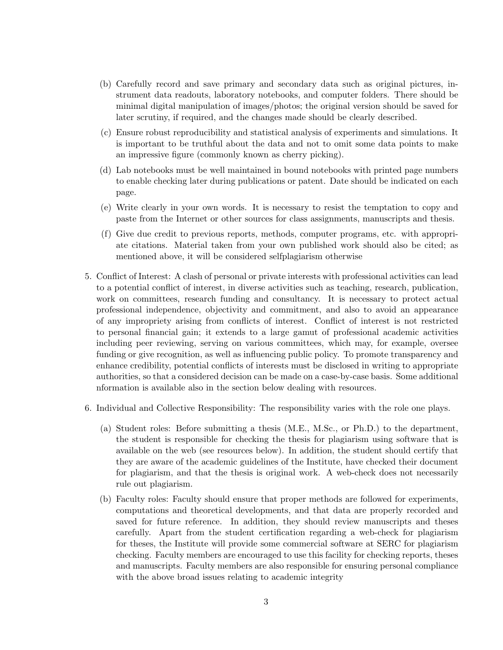- (b) Carefully record and save primary and secondary data such as original pictures, instrument data readouts, laboratory notebooks, and computer folders. There should be minimal digital manipulation of images/photos; the original version should be saved for later scrutiny, if required, and the changes made should be clearly described.
- (c) Ensure robust reproducibility and statistical analysis of experiments and simulations. It is important to be truthful about the data and not to omit some data points to make an impressive figure (commonly known as cherry picking).
- (d) Lab notebooks must be well maintained in bound notebooks with printed page numbers to enable checking later during publications or patent. Date should be indicated on each page.
- (e) Write clearly in your own words. It is necessary to resist the temptation to copy and paste from the Internet or other sources for class assignments, manuscripts and thesis.
- (f) Give due credit to previous reports, methods, computer programs, etc. with appropriate citations. Material taken from your own published work should also be cited; as mentioned above, it will be considered selfplagiarism otherwise
- 5. Conflict of Interest: A clash of personal or private interests with professional activities can lead to a potential conflict of interest, in diverse activities such as teaching, research, publication, work on committees, research funding and consultancy. It is necessary to protect actual professional independence, objectivity and commitment, and also to avoid an appearance of any impropriety arising from conflicts of interest. Conflict of interest is not restricted to personal financial gain; it extends to a large gamut of professional academic activities including peer reviewing, serving on various committees, which may, for example, oversee funding or give recognition, as well as influencing public policy. To promote transparency and enhance credibility, potential conflicts of interests must be disclosed in writing to appropriate authorities, so that a considered decision can be made on a case-by-case basis. Some additional nformation is available also in the section below dealing with resources.
- 6. Individual and Collective Responsibility: The responsibility varies with the role one plays.
	- (a) Student roles: Before submitting a thesis (M.E., M.Sc., or Ph.D.) to the department, the student is responsible for checking the thesis for plagiarism using software that is available on the web (see resources below). In addition, the student should certify that they are aware of the academic guidelines of the Institute, have checked their document for plagiarism, and that the thesis is original work. A web-check does not necessarily rule out plagiarism.
	- (b) Faculty roles: Faculty should ensure that proper methods are followed for experiments, computations and theoretical developments, and that data are properly recorded and saved for future reference. In addition, they should review manuscripts and theses carefully. Apart from the student certification regarding a web-check for plagiarism for theses, the Institute will provide some commercial software at SERC for plagiarism checking. Faculty members are encouraged to use this facility for checking reports, theses and manuscripts. Faculty members are also responsible for ensuring personal compliance with the above broad issues relating to academic integrity